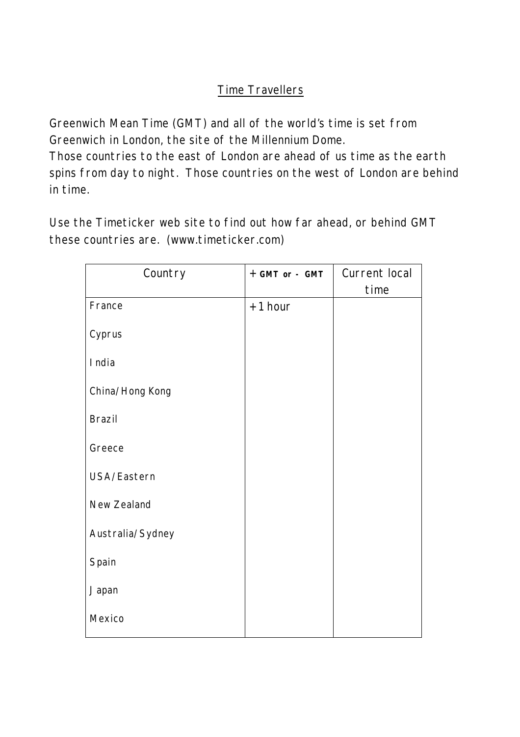## Time Travellers

Greenwich Mean Time (GMT) and all of the world's time is set from Greenwich in London, the site of the Millennium Dome.

Those countries to the east of London are ahead of us time as the earth spins from day to night. Those countries on the west of London are behind in time.

Use the Timeticker web site to find out how far ahead, or behind GMT these countries are. (www.timeticker.com)

| Country          | + GMT or - GMT | Current local |
|------------------|----------------|---------------|
|                  |                | time          |
| France           | $+1$ hour      |               |
| Cyprus           |                |               |
| I ndia           |                |               |
| China/Hong Kong  |                |               |
| <b>Brazil</b>    |                |               |
| Greece           |                |               |
| USA/Eastern      |                |               |
| New Zealand      |                |               |
| Australia/Sydney |                |               |
| Spain            |                |               |
| Japan            |                |               |
| Mexico           |                |               |